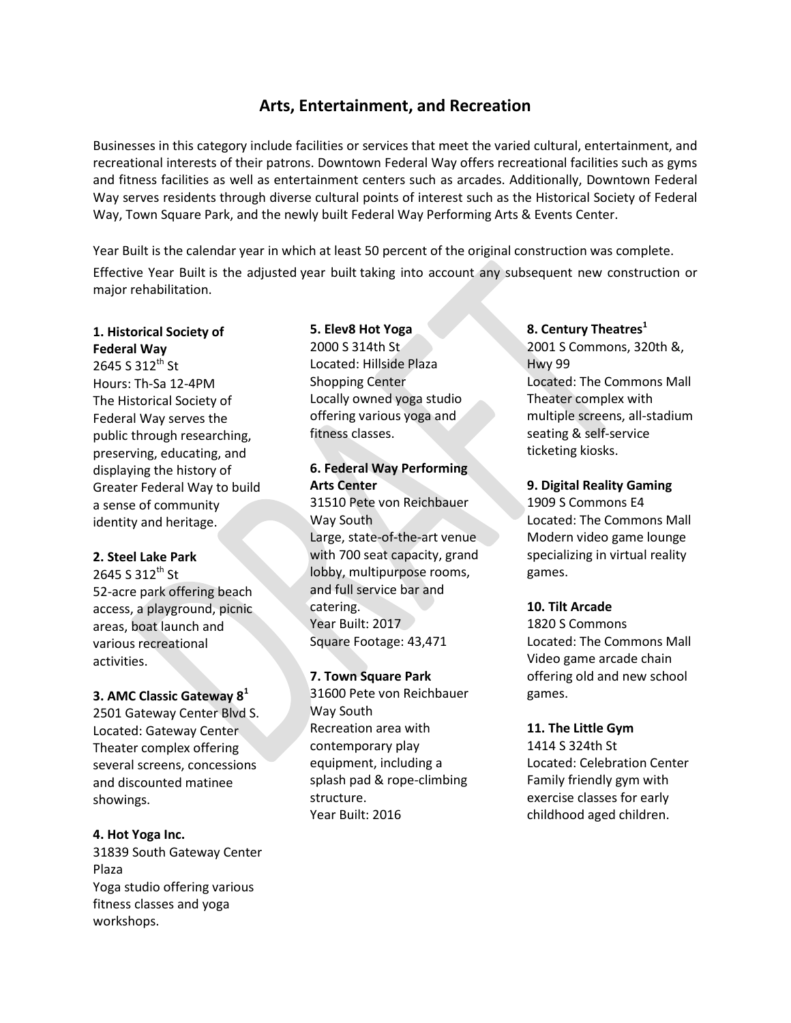# **Arts, Entertainment, and Recreation**

Businesses in this category include facilities or services that meet the varied cultural, entertainment, and recreational interests of their patrons. Downtown Federal Way offers recreational facilities such as gyms and fitness facilities as well as entertainment centers such as arcades. Additionally, Downtown Federal Way serves residents through diverse cultural points of interest such as the Historical Society of Federal Way, Town Square Park, and the newly built Federal Way Performing Arts & Events Center.

Year Built is the calendar year in which at least 50 percent of the original construction was complete. Effective Year Built is the adjusted year built taking into account any subsequent new construction or major rehabilitation.

### **1. Historical Society of Federal Way**

2645 S 312<sup>th</sup> St Hours: Th-Sa 12-4PM The Historical Society of Federal Way serves the public through researching, preserving, educating, and displaying the history of Greater Federal Way to build a sense of community identity and heritage.

#### **2. Steel Lake Park**

2645 S 312<sup>th</sup> St 52-acre park offering beach access, a playground, picnic areas, boat launch and various recreational activities.

#### **3. AMC Classic Gateway 8<sup>1</sup>**

2501 Gateway Center Blvd S. Located: Gateway Center Theater complex offering several screens, concessions and discounted matinee showings.

#### **4. Hot Yoga Inc.**

31839 South Gateway Center Plaza Yoga studio offering various fitness classes and yoga workshops.

## **5. Elev8 Hot Yoga**

2000 S 314th St Located: Hillside Plaza Shopping Center Locally owned yoga studio offering various yoga and fitness classes.

## **6. Federal Way Performing Arts Center**

31510 Pete von Reichbauer Way South Large, state-of-the-art venue with 700 seat capacity, grand lobby, multipurpose rooms, and full service bar and catering. Year Built: 2017 Square Footage: 43,471

## **7. Town Square Park**

31600 Pete von Reichbauer Way South Recreation area with contemporary play equipment, including a splash pad & rope-climbing structure. Year Built: 2016

#### **8. Century Theatres<sup>1</sup>**

2001 S Commons, 320th &, Hwy 99 Located: The Commons Mall Theater complex with multiple screens, all-stadium seating & self-service ticketing kiosks.

#### **9. Digital Reality Gaming**

1909 S Commons E4 Located: The Commons Mall Modern video game lounge specializing in virtual reality games.

#### **10. Tilt Arcade**

1820 S Commons Located: The Commons Mall Video game arcade chain offering old and new school games.

#### **11. The Little Gym**

1414 S 324th St Located: Celebration Center Family friendly gym with exercise classes for early childhood aged children.